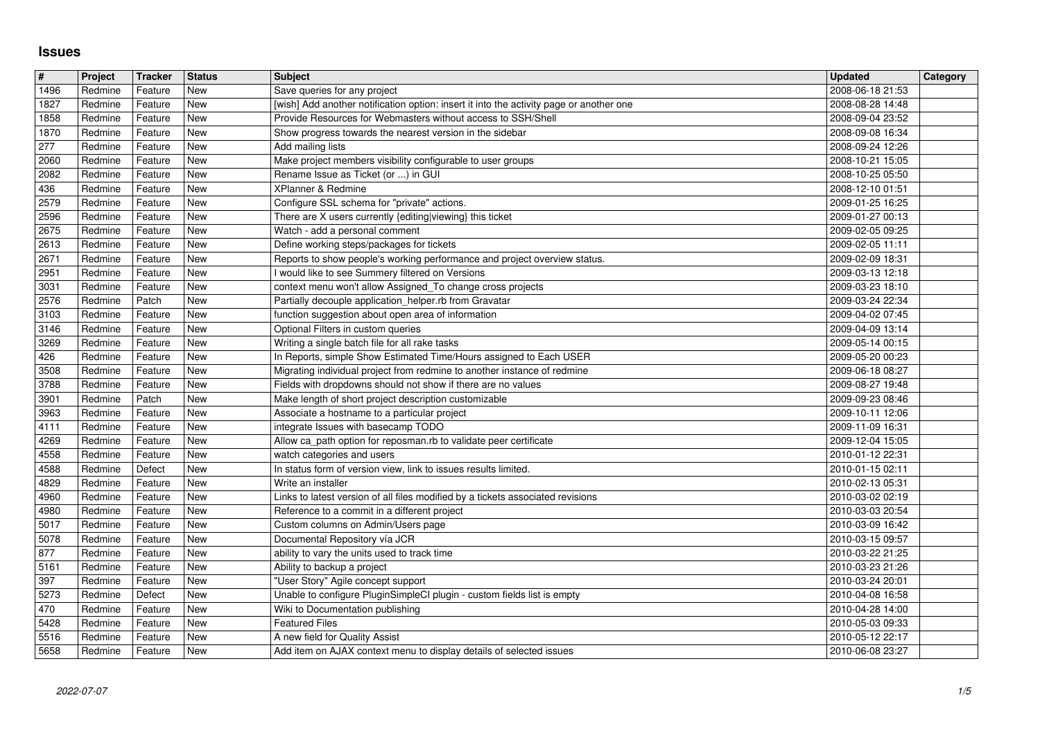## **Issues**

| $\vert$ #              | Project            | Tracker            | <b>Status</b>            | <b>Subject</b><br>Save queries for any project                                                                                           | <b>Updated</b>                       | Category |
|------------------------|--------------------|--------------------|--------------------------|------------------------------------------------------------------------------------------------------------------------------------------|--------------------------------------|----------|
| 1496<br>1827           | Redmine<br>Redmine | Feature<br>Feature | <b>New</b><br>New        | [wish] Add another notification option: insert it into the activity page or another one                                                  | 2008-06-18 21:53<br>2008-08-28 14:48 |          |
| 1858                   | Redmine            | Feature            | <b>New</b>               | Provide Resources for Webmasters without access to SSH/Shell                                                                             | 2008-09-04 23:52                     |          |
| 1870<br>277            | Redmine<br>Redmine | Feature<br>Feature | <b>New</b><br><b>New</b> | Show progress towards the nearest version in the sidebar<br>Add mailing lists                                                            | 2008-09-08 16:34<br>2008-09-24 12:26 |          |
| 2060                   | Redmine            | Feature            | <b>New</b>               | Make project members visibility configurable to user groups                                                                              | 2008-10-21 15:05                     |          |
| 2082<br>436            | Redmine<br>Redmine | Feature<br>Feature | <b>New</b><br><b>New</b> | Rename Issue as Ticket (or ) in GUI<br>XPlanner & Redmine                                                                                | 2008-10-25 05:50<br>2008-12-10 01:51 |          |
| 2579<br>2596           | Redmine            | Feature            | New<br><b>New</b>        | Configure SSL schema for "private" actions.<br>There are X users currently {editing viewing} this ticket                                 | 2009-01-25 16:25                     |          |
| 2675                   | Redmine<br>Redmine | Feature<br>Feature | <b>New</b>               | Watch - add a personal comment                                                                                                           | 2009-01-27 00:13<br>2009-02-05 09:25 |          |
| 2613                   | Redmine            | Feature            | <b>New</b>               | Define working steps/packages for tickets                                                                                                | 2009-02-05 11:11                     |          |
| 2671<br>2951           | Redmine<br>Redmine | Feature<br>Feature | <b>New</b><br><b>New</b> | Reports to show people's working performance and project overview status.<br>I would like to see Summery filtered on Versions            | 2009-02-09 18:31<br>2009-03-13 12:18 |          |
| 3031                   | Redmine            | Feature            | <b>New</b>               | context menu won't allow Assigned_To change cross projects                                                                               | 2009-03-23 18:10                     |          |
| 2576<br>3103           | Redmine<br>Redmine | Patch<br>Feature   | <b>New</b><br>New        | Partially decouple application_helper.rb from Gravatar<br>function suggestion about open area of information                             | 2009-03-24 22:34<br>2009-04-02 07:45 |          |
| 3146                   | Redmine            | Feature            | <b>New</b>               | Optional Filters in custom queries                                                                                                       | 2009-04-09 13:14                     |          |
| 3269<br>426            | Redmine<br>Redmine | Feature<br>Feature | New<br><b>New</b>        | Writing a single batch file for all rake tasks<br>In Reports, simple Show Estimated Time/Hours assigned to Each USER                     | 2009-05-14 00:15<br>2009-05-20 00:23 |          |
| 3508<br>3788           | Redmine            | Feature            | <b>New</b><br><b>New</b> | Migrating individual project from redmine to another instance of redmine<br>Fields with dropdowns should not show if there are no values | 2009-06-18 08:27                     |          |
| 3901                   | Redmine<br>Redmine | Feature<br>Patch   | <b>New</b>               | Make length of short project description customizable                                                                                    | 2009-08-27 19:48<br>2009-09-23 08:46 |          |
| 3963<br>4111           | Redmine            | Feature            | New                      | Associate a hostname to a particular project<br>integrate Issues with basecamp TODO                                                      | 2009-10-11 12:06                     |          |
| 4269                   | Redmine<br>Redmine | Feature<br>Feature | New<br><b>New</b>        | Allow ca_path option for reposman.rb to validate peer certificate                                                                        | 2009-11-09 16:31<br>2009-12-04 15:05 |          |
| 4558                   | Redmine            | Feature            | New                      | watch categories and users                                                                                                               | 2010-01-12 22:31                     |          |
| 4588<br>4829           | Redmine<br>Redmine | Defect<br>Feature  | <b>New</b><br><b>New</b> | In status form of version view, link to issues results limited.<br>Write an installer                                                    | 2010-01-15 02:11<br>2010-02-13 05:31 |          |
| 4960                   | Redmine            | Feature            | <b>New</b><br><b>New</b> | Links to latest version of all files modified by a tickets associated revisions                                                          | 2010-03-02 02:19                     |          |
| 4980<br>5017           | Redmine<br>Redmine | Feature<br>Feature | <b>New</b>               | Reference to a commit in a different project<br>Custom columns on Admin/Users page                                                       | 2010-03-03 20:54<br>2010-03-09 16:42 |          |
| 5078                   | Redmine            | Feature            | <b>New</b>               | Documental Repository vía JCR                                                                                                            | 2010-03-15 09:57                     |          |
| 877<br>5161            | Redmine<br>Redmine | Feature<br>Feature | New<br><b>New</b>        | ability to vary the units used to track time<br>Ability to backup a project                                                              | 2010-03-22 21:25<br>2010-03-23 21:26 |          |
| 397<br>5273            | Redmine<br>Redmine | Feature<br>Defect  | <b>New</b><br><b>New</b> | "User Story" Agile concept support<br>Unable to configure PluginSimpleCI plugin - custom fields list is empty                            | 2010-03-24 20:01<br>2010-04-08 16:58 |          |
| 470                    | Redmine            | Feature            | New                      | Wiki to Documentation publishing                                                                                                         | 2010-04-28 14:00                     |          |
| $\boxed{5428}$<br>5516 | Redmine<br>Redmine | Feature<br>Feature | New<br>New               | <b>Featured Files</b><br>A new field for Quality Assist                                                                                  | 2010-05-03 09:33<br>2010-05-12 22:17 |          |
| 5658                   | Redmine            | Feature            | New                      | Add item on AJAX context menu to display details of selected issues                                                                      | 2010-06-08 23:27                     |          |
|                        |                    |                    |                          |                                                                                                                                          |                                      |          |
|                        |                    |                    |                          |                                                                                                                                          |                                      |          |
|                        |                    |                    |                          |                                                                                                                                          |                                      |          |
|                        |                    |                    |                          |                                                                                                                                          |                                      |          |
|                        |                    |                    |                          |                                                                                                                                          |                                      |          |
|                        |                    |                    |                          |                                                                                                                                          |                                      |          |
|                        |                    |                    |                          |                                                                                                                                          |                                      |          |
|                        |                    |                    |                          |                                                                                                                                          |                                      |          |
|                        |                    |                    |                          |                                                                                                                                          |                                      |          |
|                        |                    |                    |                          |                                                                                                                                          |                                      |          |
|                        |                    |                    |                          |                                                                                                                                          |                                      |          |
|                        |                    |                    |                          |                                                                                                                                          |                                      |          |
|                        |                    |                    |                          |                                                                                                                                          |                                      |          |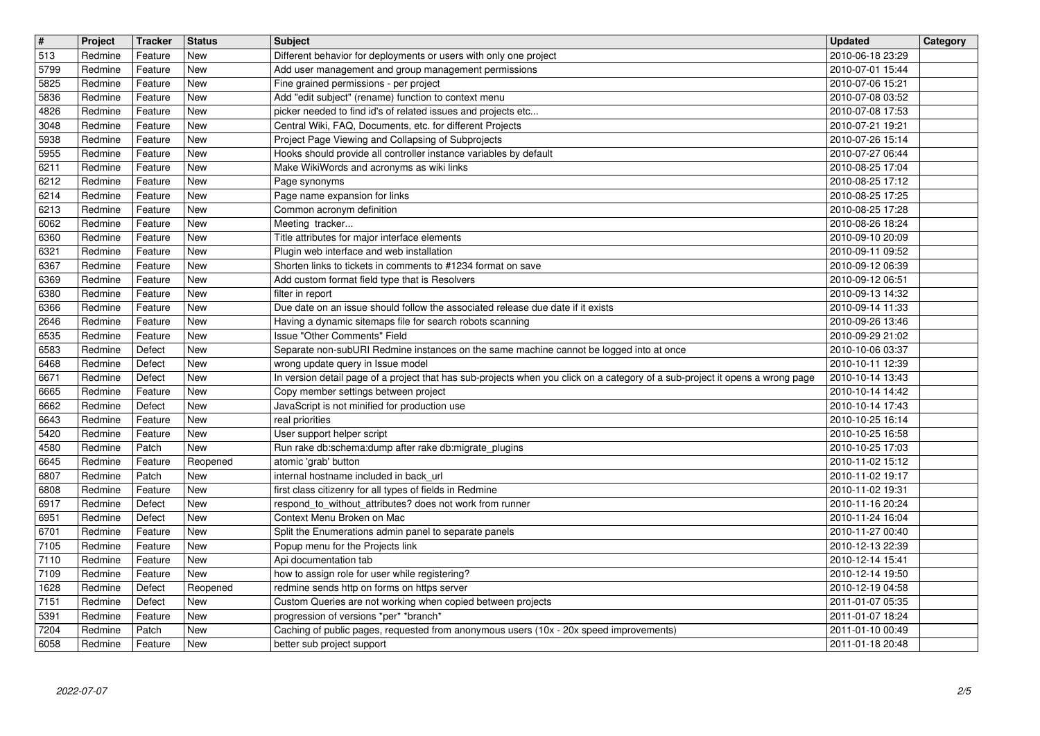| $\overline{\mathbf{H}}$ | Project            | Tracker            | <b>Status</b>            | <b>Subject</b>                                                                                                                               | <b>Updated</b>                       | Category |
|-------------------------|--------------------|--------------------|--------------------------|----------------------------------------------------------------------------------------------------------------------------------------------|--------------------------------------|----------|
| 513<br>5799             | Redmine<br>Redmine | Feature<br>Feature | New<br><b>New</b>        | Different behavior for deployments or users with only one project<br>Add user management and group management permissions                    | 2010-06-18 23:29<br>2010-07-01 15:44 |          |
| 5825                    | Redmine            | Feature            | <b>New</b>               | Fine grained permissions - per project                                                                                                       | 2010-07-06 15:21                     |          |
| 5836<br>4826            | Redmine<br>Redmine | Feature<br>Feature | New<br><b>New</b>        | Add "edit subject" (rename) function to context menu<br>picker needed to find id's of related issues and projects etc                        | 2010-07-08 03:52<br>2010-07-08 17:53 |          |
| 3048                    | Redmine            | Feature            | <b>New</b>               | Central Wiki, FAQ, Documents, etc. for different Projects                                                                                    | 2010-07-21 19:21                     |          |
| 5938<br>5955            | Redmine<br>Redmine | Feature<br>Feature | <b>New</b><br><b>New</b> | Project Page Viewing and Collapsing of Subprojects<br>Hooks should provide all controller instance variables by default                      | 2010-07-26 15:14<br>2010-07-27 06:44 |          |
| 6211                    | Redmine            | Feature            | New                      | Make WikiWords and acronyms as wiki links                                                                                                    | 2010-08-25 17:04                     |          |
| 6212<br>6214            | Redmine<br>Redmine | Feature<br>Feature | <b>New</b><br><b>New</b> | Page synonyms<br>Page name expansion for links                                                                                               | 2010-08-25 17:12<br>2010-08-25 17:25 |          |
| 6213                    | Redmine            | Feature            | <b>New</b>               | Common acronym definition                                                                                                                    | 2010-08-25 17:28                     |          |
| 6062<br>6360            | Redmine<br>Redmine | Feature<br>Feature | <b>New</b><br><b>New</b> | Meeting tracker<br>Title attributes for major interface elements                                                                             | 2010-08-26 18:24<br>2010-09-10 20:09 |          |
| 6321                    | Redmine            | Feature            | <b>New</b>               | Plugin web interface and web installation                                                                                                    | 2010-09-11 09:52                     |          |
| 6367<br>6369            | Redmine<br>Redmine | Feature<br>Feature | <b>New</b><br>New        | Shorten links to tickets in comments to #1234 format on save<br>Add custom format field type that is Resolvers                               | 2010-09-12 06:39<br>2010-09-12 06:51 |          |
| 6380                    | Redmine            | Feature            | New                      | filter in report                                                                                                                             | 2010-09-13 14:32                     |          |
| 6366<br>2646            | Redmine<br>Redmine | Feature<br>Feature | <b>New</b><br><b>New</b> | Due date on an issue should follow the associated release due date if it exists<br>Having a dynamic sitemaps file for search robots scanning | 2010-09-14 11:33<br>2010-09-26 13:46 |          |
| 6535                    | Redmine            | Feature            | <b>New</b>               | Issue "Other Comments" Field                                                                                                                 | 2010-09-29 21:02                     |          |
| 6583<br>6468            | Redmine<br>Redmine | Defect<br>Defect   | <b>New</b><br><b>New</b> | Separate non-subURI Redmine instances on the same machine cannot be logged into at once<br>wrong update query in Issue model                 | 2010-10-06 03:37<br>2010-10-11 12:39 |          |
| 6671                    | Redmine            | Defect             | <b>New</b>               | In version detail page of a project that has sub-projects when you click on a category of a sub-project it opens a wrong page                | 2010-10-14 13:43                     |          |
| 6665<br>6662            | Redmine<br>Redmine | Feature<br>Defect  | <b>New</b><br><b>New</b> | Copy member settings between project<br>JavaScript is not minified for production use                                                        | 2010-10-14 14:42<br>2010-10-14 17:43 |          |
| 6643                    | Redmine            | Feature            | New                      | real priorities                                                                                                                              | 2010-10-25 16:14                     |          |
| 5420<br>4580            | Redmine<br>Redmine | Feature<br>Patch   | New<br><b>New</b>        | User support helper script<br>Run rake db:schema:dump after rake db:migrate_plugins                                                          | 2010-10-25 16:58<br>2010-10-25 17:03 |          |
| 6645                    | Redmine            | Feature            | Reopened                 | atomic 'grab' button                                                                                                                         | 2010-11-02 15:12                     |          |
| 6807<br>6808            | Redmine<br>Redmine | Patch<br>Feature   | New<br>New               | internal hostname included in back_url<br>first class citizenry for all types of fields in Redmine                                           | 2010-11-02 19:17<br>2010-11-02 19:31 |          |
| 6917                    | Redmine            | Defect             | <b>New</b>               | respond_to_without_attributes? does not work from runner                                                                                     | 2010-11-16 20:24                     |          |
| 6951                    | Redmine            | Defect             | <b>New</b>               | Context Menu Broken on Mac                                                                                                                   | 2010-11-24 16:04                     |          |
| 6701<br>7105            | Redmine<br>Redmine | Feature<br>Feature | New<br>New               | Split the Enumerations admin panel to separate panels<br>Popup menu for the Projects link                                                    | 2010-11-27 00:40<br>2010-12-13 22:39 |          |
| 7110                    | Redmine            | Feature            | New                      | Api documentation tab                                                                                                                        | 2010-12-14 15:41                     |          |
| 7109<br>$\boxed{1628}$  | Redmine<br>Redmine | Feature<br>Defect  | New<br>Reopened          | how to assign role for user while registering?<br>redmine sends http on forms on https server                                                | 2010-12-14 19:50<br>2010-12-19 04:58 |          |
| 7151                    | Redmine            | Defect             | New                      | Custom Queries are not working when copied between projects                                                                                  | 2011-01-07 05:35                     |          |
| 5391<br>7204            | Redmine<br>Redmine | Feature<br>Patch   | New<br>New               | progression of versions *per* *branch*<br>Caching of public pages, requested from anonymous users (10x - 20x speed improvements)             | 2011-01-07 18:24<br>2011-01-10 00:49 |          |
| 6058                    | Redmine            | Feature            | New                      | better sub project support                                                                                                                   | 2011-01-18 20:48                     |          |
|                         |                    |                    |                          |                                                                                                                                              |                                      |          |
|                         |                    |                    |                          |                                                                                                                                              |                                      |          |
|                         |                    |                    |                          |                                                                                                                                              |                                      |          |
|                         |                    |                    |                          |                                                                                                                                              |                                      |          |
|                         |                    |                    |                          |                                                                                                                                              |                                      |          |
|                         |                    |                    |                          |                                                                                                                                              |                                      |          |
|                         |                    |                    |                          |                                                                                                                                              |                                      |          |
|                         |                    |                    |                          |                                                                                                                                              |                                      |          |
|                         |                    |                    |                          |                                                                                                                                              |                                      |          |
|                         |                    |                    |                          |                                                                                                                                              |                                      |          |
|                         |                    |                    |                          |                                                                                                                                              |                                      |          |
|                         |                    |                    |                          |                                                                                                                                              |                                      |          |
|                         |                    |                    |                          |                                                                                                                                              |                                      |          |
|                         |                    |                    |                          |                                                                                                                                              |                                      |          |
|                         |                    |                    |                          |                                                                                                                                              |                                      |          |
|                         |                    |                    |                          |                                                                                                                                              |                                      |          |
|                         |                    |                    |                          |                                                                                                                                              |                                      |          |
|                         |                    |                    |                          |                                                                                                                                              |                                      |          |
|                         |                    |                    |                          |                                                                                                                                              |                                      |          |
|                         |                    |                    |                          |                                                                                                                                              |                                      |          |
|                         |                    |                    |                          |                                                                                                                                              |                                      |          |
|                         |                    |                    |                          |                                                                                                                                              |                                      |          |
|                         |                    |                    |                          |                                                                                                                                              |                                      |          |
|                         |                    |                    |                          |                                                                                                                                              |                                      |          |
|                         |                    |                    |                          |                                                                                                                                              |                                      |          |
|                         |                    |                    |                          |                                                                                                                                              |                                      |          |
|                         |                    |                    |                          |                                                                                                                                              |                                      |          |
|                         |                    |                    |                          |                                                                                                                                              |                                      |          |
|                         |                    |                    |                          |                                                                                                                                              |                                      |          |
|                         |                    |                    |                          |                                                                                                                                              |                                      |          |
|                         |                    |                    |                          |                                                                                                                                              |                                      |          |
|                         |                    |                    |                          |                                                                                                                                              |                                      |          |
|                         |                    |                    |                          |                                                                                                                                              |                                      |          |
|                         |                    |                    |                          |                                                                                                                                              |                                      |          |
|                         |                    |                    |                          |                                                                                                                                              |                                      |          |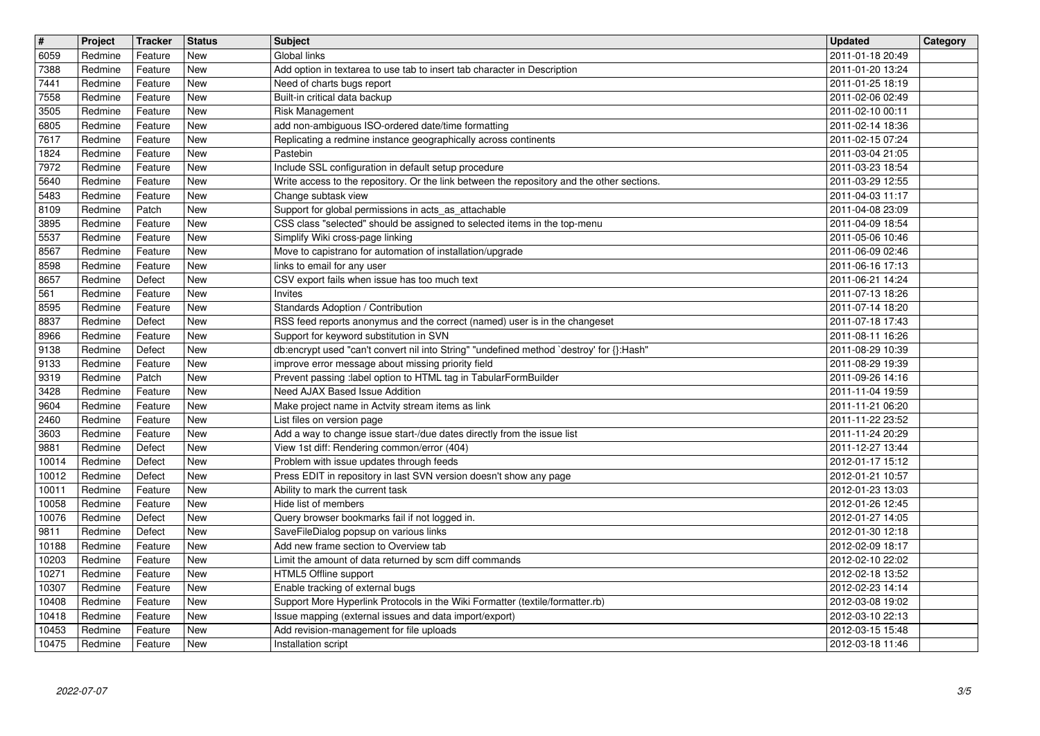| $\overline{\mathbf{H}}$ | Project            | Tracker            | <b>Status</b>            | <b>Subject</b>                                                                                                                                 | <b>Updated</b>                       | Category |
|-------------------------|--------------------|--------------------|--------------------------|------------------------------------------------------------------------------------------------------------------------------------------------|--------------------------------------|----------|
| 6059<br>7388            | Redmine<br>Redmine | Feature<br>Feature | New<br><b>New</b>        | Global links<br>Add option in textarea to use tab to insert tab character in Description                                                       | 2011-01-18 20:49<br>2011-01-20 13:24 |          |
| 7441                    | Redmine            | Feature            | <b>New</b>               | Need of charts bugs report                                                                                                                     | 2011-01-25 18:19                     |          |
| 7558<br>3505            | Redmine<br>Redmine | Feature<br>Feature | <b>New</b><br><b>New</b> | Built-in critical data backup<br>Risk Management                                                                                               | 2011-02-06 02:49<br>2011-02-10 00:11 |          |
| 6805                    | Redmine            | Feature            | <b>New</b>               | add non-ambiguous ISO-ordered date/time formatting                                                                                             | 2011-02-14 18:36                     |          |
| 7617<br>1824            | Redmine<br>Redmine | Feature<br>Feature | <b>New</b><br><b>New</b> | Replicating a redmine instance geographically across continents<br>Pastebin                                                                    | 2011-02-15 07:24<br>2011-03-04 21:05 |          |
| 7972                    | Redmine            | Feature            | New                      | Include SSL configuration in default setup procedure                                                                                           | 2011-03-23 18:54                     |          |
| 5640<br>5483            | Redmine<br>Redmine | Feature<br>Feature | <b>New</b><br><b>New</b> | Write access to the repository. Or the link between the repository and the other sections.<br>Change subtask view                              | 2011-03-29 12:55<br>2011-04-03 11:17 |          |
| 8109                    | Redmine            | Patch              | New                      | Support for global permissions in acts_as_attachable                                                                                           | 2011-04-08 23:09                     |          |
| 3895<br>5537            | Redmine<br>Redmine | Feature<br>Feature | <b>New</b><br><b>New</b> | CSS class "selected" should be assigned to selected items in the top-menu<br>Simplify Wiki cross-page linking                                  | 2011-04-09 18:54<br>2011-05-06 10:46 |          |
| 8567                    | Redmine            | Feature            | <b>New</b>               | Move to capistrano for automation of installation/upgrade                                                                                      | 2011-06-09 02:46                     |          |
| 8598<br>8657            | Redmine<br>Redmine | Feature<br>Defect  | <b>New</b><br><b>New</b> | links to email for any user<br>CSV export fails when issue has too much text                                                                   | 2011-06-16 17:13<br>2011-06-21 14:24 |          |
| 561                     | Redmine            | Feature            | New                      | Invites                                                                                                                                        | 2011-07-13 18:26                     |          |
| 8595<br>8837            | Redmine<br>Redmine | Feature<br>Defect  | <b>New</b><br>New        | Standards Adoption / Contribution<br>RSS feed reports anonymus and the correct (named) user is in the changeset                                | 2011-07-14 18:20<br>2011-07-18 17:43 |          |
| 8966                    | Redmine            | Feature            | <b>New</b>               | Support for keyword substitution in SVN                                                                                                        | 2011-08-11 16:26                     |          |
| 9138<br>9133            | Redmine<br>Redmine | Defect<br>Feature  | <b>New</b><br><b>New</b> | db:encrypt used "can't convert nil into String" "undefined method `destroy' for {}:Hash"<br>improve error message about missing priority field | 2011-08-29 10:39<br>2011-08-29 19:39 |          |
| 9319                    | Redmine            | Patch              | <b>New</b>               | Prevent passing :label option to HTML tag in TabularFormBuilder                                                                                | 2011-09-26 14:16                     |          |
| 3428                    | Redmine            | Feature            | New                      | Need AJAX Based Issue Addition                                                                                                                 | 2011-11-04 19:59                     |          |
| 9604<br>2460            | Redmine<br>Redmine | Feature<br>Feature | <b>New</b><br>New        | Make project name in Actvity stream items as link<br>List files on version page                                                                | 2011-11-21 06:20<br>2011-11-22 23:52 |          |
| 3603                    | Redmine            | Feature            | <b>New</b>               | Add a way to change issue start-/due dates directly from the issue list                                                                        | 2011-11-24 20:29                     |          |
| 9881<br>10014           | Redmine<br>Redmine | Defect<br>Defect   | <b>New</b><br><b>New</b> | View 1st diff: Rendering common/error (404)<br>Problem with issue updates through feeds                                                        | 2011-12-27 13:44<br>2012-01-17 15:12 |          |
| 10012                   | Redmine            | Defect             | <b>New</b>               | Press EDIT in repository in last SVN version doesn't show any page                                                                             | 2012-01-21 10:57                     |          |
| 10011<br>10058          | Redmine<br>Redmine | Feature<br>Feature | <b>New</b><br><b>New</b> | Ability to mark the current task<br>Hide list of members                                                                                       | 2012-01-23 13:03<br>2012-01-26 12:45 |          |
| 10076                   | Redmine            | Defect             | <b>New</b>               | Query browser bookmarks fail if not logged in.                                                                                                 | 2012-01-27 14:05                     |          |
| 9811<br>10188           | Redmine<br>Redmine | Defect<br>Feature  | New<br>New               | SaveFileDialog popsup on various links<br>Add new frame section to Overview tab                                                                | 2012-01-30 12:18<br>2012-02-09 18:17 |          |
| 10203                   | Redmine            | Feature            | New                      | Limit the amount of data returned by scm diff commands                                                                                         | 2012-02-10 22:02                     |          |
| 10271<br>10307          | Redmine<br>Redmine | Feature<br>Feature | New<br>New               | HTML5 Offline support<br>Enable tracking of external bugs                                                                                      | 2012-02-18 13:52<br>2012-02-23 14:14 |          |
| 10408                   | Redmine            | Feature            | New                      | Support More Hyperlink Protocols in the Wiki Formatter (textile/formatter.rb)                                                                  | 2012-03-08 19:02                     |          |
| 10418<br>10453          | Redmine<br>Redmine | Feature<br>Feature | New<br>New               | Issue mapping (external issues and data import/export)<br>Add revision-management for file uploads                                             | 2012-03-10 22:13<br>2012-03-15 15:48 |          |
| 10475                   | Redmine            | Feature            | New                      | Installation script                                                                                                                            | 2012-03-18 11:46                     |          |
|                         |                    |                    |                          |                                                                                                                                                |                                      |          |
|                         |                    |                    |                          |                                                                                                                                                |                                      |          |
|                         |                    |                    |                          |                                                                                                                                                |                                      |          |
|                         |                    |                    |                          |                                                                                                                                                |                                      |          |
|                         |                    |                    |                          |                                                                                                                                                |                                      |          |
|                         |                    |                    |                          |                                                                                                                                                |                                      |          |
|                         |                    |                    |                          |                                                                                                                                                |                                      |          |
|                         |                    |                    |                          |                                                                                                                                                |                                      |          |
|                         |                    |                    |                          |                                                                                                                                                |                                      |          |
|                         |                    |                    |                          |                                                                                                                                                |                                      |          |
|                         |                    |                    |                          |                                                                                                                                                |                                      |          |
|                         |                    |                    |                          |                                                                                                                                                |                                      |          |
|                         |                    |                    |                          |                                                                                                                                                |                                      |          |
|                         |                    |                    |                          |                                                                                                                                                |                                      |          |
|                         |                    |                    |                          |                                                                                                                                                |                                      |          |
|                         |                    |                    |                          |                                                                                                                                                |                                      |          |
|                         |                    |                    |                          |                                                                                                                                                |                                      |          |
|                         |                    |                    |                          |                                                                                                                                                |                                      |          |
|                         |                    |                    |                          |                                                                                                                                                |                                      |          |
|                         |                    |                    |                          |                                                                                                                                                |                                      |          |
|                         |                    |                    |                          |                                                                                                                                                |                                      |          |
|                         |                    |                    |                          |                                                                                                                                                |                                      |          |
|                         |                    |                    |                          |                                                                                                                                                |                                      |          |
|                         |                    |                    |                          |                                                                                                                                                |                                      |          |
|                         |                    |                    |                          |                                                                                                                                                |                                      |          |
|                         |                    |                    |                          |                                                                                                                                                |                                      |          |
|                         |                    |                    |                          |                                                                                                                                                |                                      |          |
|                         |                    |                    |                          |                                                                                                                                                |                                      |          |
|                         |                    |                    |                          |                                                                                                                                                |                                      |          |
|                         |                    |                    |                          |                                                                                                                                                |                                      |          |
|                         |                    |                    |                          |                                                                                                                                                |                                      |          |
|                         |                    |                    |                          |                                                                                                                                                |                                      |          |
|                         |                    |                    |                          |                                                                                                                                                |                                      |          |
|                         |                    |                    |                          |                                                                                                                                                |                                      |          |
|                         |                    |                    |                          |                                                                                                                                                |                                      |          |
|                         |                    |                    |                          |                                                                                                                                                |                                      |          |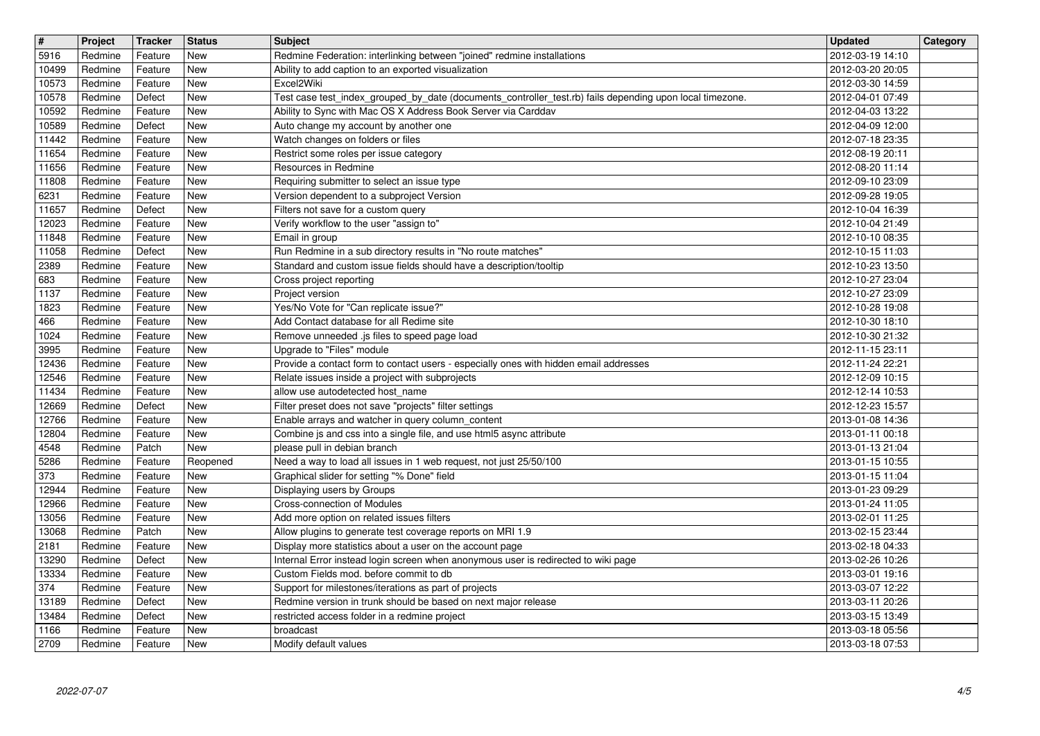| $\overline{\mathbf{H}}$<br>5916 | Project<br>Redmine | Tracker<br>Feature | <b>Status</b><br>New     | <b>Subject</b><br>Redmine Federation: interlinking between "joined" redmine installations                                                | <b>Updated</b><br>2012-03-19 14:10   | Category |
|---------------------------------|--------------------|--------------------|--------------------------|------------------------------------------------------------------------------------------------------------------------------------------|--------------------------------------|----------|
| 10499                           | Redmine            | Feature            | <b>New</b>               | Ability to add caption to an exported visualization                                                                                      | 2012-03-20 20:05                     |          |
| 10573<br>10578                  | Redmine<br>Redmine | Feature<br>Defect  | <b>New</b><br><b>New</b> | Excel2Wiki<br>Test case test_index_grouped_by_date (documents_controller_test.rb) fails depending upon local timezone.                   | 2012-03-30 14:59<br>2012-04-01 07:49 |          |
| 10592                           | Redmine            | Feature            | <b>New</b>               | Ability to Sync with Mac OS X Address Book Server via Carddav                                                                            | 2012-04-03 13:22                     |          |
| 10589<br>11442                  | Redmine<br>Redmine | Defect<br>Feature  | <b>New</b><br><b>New</b> | Auto change my account by another one<br>Watch changes on folders or files                                                               | 2012-04-09 12:00<br>2012-07-18 23:35 |          |
| 11654<br>11656                  | Redmine<br>Redmine | Feature<br>Feature | <b>New</b><br><b>New</b> | Restrict some roles per issue category<br>Resources in Redmine                                                                           | 2012-08-19 20:11<br>2012-08-20 11:14 |          |
| 11808                           | Redmine            | Feature            | <b>New</b>               | Requiring submitter to select an issue type                                                                                              | 2012-09-10 23:09                     |          |
| 6231<br>11657                   | Redmine<br>Redmine | Feature<br>Defect  | <b>New</b><br><b>New</b> | Version dependent to a subproject Version<br>Filters not save for a custom query                                                         | 2012-09-28 19:05<br>2012-10-04 16:39 |          |
| 12023<br>11848                  | Redmine            | Feature            | <b>New</b>               | Verify workflow to the user "assign to"                                                                                                  | 2012-10-04 21:49                     |          |
| 11058                           | Redmine<br>Redmine | Feature<br>Defect  | <b>New</b><br><b>New</b> | Email in group<br>Run Redmine in a sub directory results in "No route matches"                                                           | 2012-10-10 08:35<br>2012-10-15 11:03 |          |
| 2389<br>683                     | Redmine<br>Redmine | Feature<br>Feature | <b>New</b><br>New        | Standard and custom issue fields should have a description/tooltip<br>Cross project reporting                                            | 2012-10-23 13:50<br>2012-10-27 23:04 |          |
| 1137<br>1823                    | Redmine<br>Redmine | Feature<br>Feature | <b>New</b><br><b>New</b> | Project version<br>Yes/No Vote for "Can replicate issue?"                                                                                | 2012-10-27 23:09<br>2012-10-28 19:08 |          |
| 466                             | Redmine            | Feature            | <b>New</b>               | Add Contact database for all Redime site                                                                                                 | 2012-10-30 18:10                     |          |
| 1024<br>3995                    | Redmine<br>Redmine | Feature<br>Feature | <b>New</b><br><b>New</b> | Remove unneeded .js files to speed page load<br>Upgrade to "Files" module                                                                | 2012-10-30 21:32<br>2012-11-15 23:11 |          |
| 12436<br>12546                  | Redmine<br>Redmine | Feature<br>Feature | <b>New</b><br><b>New</b> | Provide a contact form to contact users - especially ones with hidden email addresses<br>Relate issues inside a project with subprojects | 2012-11-24 22:21<br>2012-12-09 10:15 |          |
| 11434                           | Redmine            | Feature            | <b>New</b>               | allow use autodetected host_name                                                                                                         | 2012-12-14 10:53                     |          |
| 12669<br>12766                  | Redmine<br>Redmine | Defect<br>Feature  | New<br><b>New</b>        | Filter preset does not save "projects" filter settings<br>Enable arrays and watcher in query column_content                              | 2012-12-23 15:57<br>2013-01-08 14:36 |          |
| 12804                           | Redmine            | Feature            | <b>New</b>               | Combine js and css into a single file, and use html5 async attribute                                                                     | 2013-01-11 00:18                     |          |
| 4548<br>5286                    | Redmine<br>Redmine | Patch<br>Feature   | New<br>Reopened          | please pull in debian branch<br>Need a way to load all issues in 1 web request, not just 25/50/100                                       | 2013-01-13 21:04<br>2013-01-15 10:55 |          |
| 373<br>12944                    | Redmine<br>Redmine | Feature<br>Feature | <b>New</b><br>New        | Graphical slider for setting "% Done" field<br>Displaying users by Groups                                                                | 2013-01-15 11:04<br>2013-01-23 09:29 |          |
| 12966                           | Redmine            | Feature            | New                      | Cross-connection of Modules                                                                                                              | 2013-01-24 11:05                     |          |
| 13056<br>13068                  | Redmine<br>Redmine | Feature<br>Patch   | <b>New</b><br>New        | Add more option on related issues filters<br>Allow plugins to generate test coverage reports on MRI 1.9                                  | 2013-02-01 11:25<br>2013-02-15 23:44 |          |
| 2181                            | Redmine            | Feature            | New                      | Display more statistics about a user on the account page                                                                                 | 2013-02-18 04:33                     |          |
| 13290<br>13334                  | Redmine<br>Redmine | Defect<br>Feature  | New<br>New               | Internal Error instead login screen when anonymous user is redirected to wiki page<br>Custom Fields mod. before commit to db             | 2013-02-26 10:26<br>2013-03-01 19:16 |          |
| 374<br>13189                    | Redmine<br>Redmine | Feature<br>Defect  | New<br><b>New</b>        | Support for milestones/iterations as part of projects<br>Redmine version in trunk should be based on next major release                  | 2013-03-07 12:22<br>2013-03-11 20:26 |          |
| 13484                           | Redmine            | Defect             | New                      | restricted access folder in a redmine project                                                                                            | 2013-03-15 13:49                     |          |
| 1166<br>2709                    | Redmine<br>Redmine | Feature<br>Feature | New<br>New               | broadcast<br>Modify default values                                                                                                       | 2013-03-18 05:56<br>2013-03-18 07:53 |          |
|                                 |                    |                    |                          |                                                                                                                                          |                                      |          |
|                                 |                    |                    |                          |                                                                                                                                          |                                      |          |
|                                 |                    |                    |                          |                                                                                                                                          |                                      |          |
|                                 |                    |                    |                          |                                                                                                                                          |                                      |          |
|                                 |                    |                    |                          |                                                                                                                                          |                                      |          |
|                                 |                    |                    |                          |                                                                                                                                          |                                      |          |
|                                 |                    |                    |                          |                                                                                                                                          |                                      |          |
|                                 |                    |                    |                          |                                                                                                                                          |                                      |          |
|                                 |                    |                    |                          |                                                                                                                                          |                                      |          |
|                                 |                    |                    |                          |                                                                                                                                          |                                      |          |
|                                 |                    |                    |                          |                                                                                                                                          |                                      |          |
|                                 |                    |                    |                          |                                                                                                                                          |                                      |          |
|                                 |                    |                    |                          |                                                                                                                                          |                                      |          |
|                                 |                    |                    |                          |                                                                                                                                          |                                      |          |
|                                 |                    |                    |                          |                                                                                                                                          |                                      |          |
|                                 |                    |                    |                          |                                                                                                                                          |                                      |          |
|                                 |                    |                    |                          |                                                                                                                                          |                                      |          |
|                                 |                    |                    |                          |                                                                                                                                          |                                      |          |
|                                 |                    |                    |                          |                                                                                                                                          |                                      |          |
|                                 |                    |                    |                          |                                                                                                                                          |                                      |          |
|                                 |                    |                    |                          |                                                                                                                                          |                                      |          |
|                                 |                    |                    |                          |                                                                                                                                          |                                      |          |
|                                 |                    |                    |                          |                                                                                                                                          |                                      |          |
|                                 |                    |                    |                          |                                                                                                                                          |                                      |          |
|                                 |                    |                    |                          |                                                                                                                                          |                                      |          |
|                                 |                    |                    |                          |                                                                                                                                          |                                      |          |
|                                 |                    |                    |                          |                                                                                                                                          |                                      |          |
|                                 |                    |                    |                          |                                                                                                                                          |                                      |          |
|                                 |                    |                    |                          |                                                                                                                                          |                                      |          |
|                                 |                    |                    |                          |                                                                                                                                          |                                      |          |
|                                 |                    |                    |                          |                                                                                                                                          |                                      |          |
|                                 |                    |                    |                          |                                                                                                                                          |                                      |          |